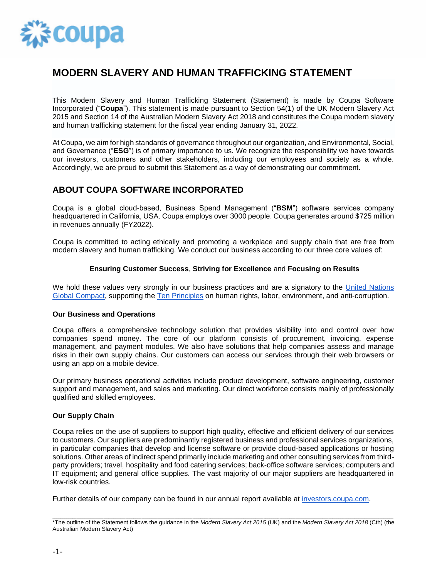

# **MODERN SLAVERY AND HUMAN TRAFFICKING STATEMENT**

This Modern Slavery and Human Trafficking Statement (Statement) is made by Coupa Software Incorporated ("**Coupa**"). This statement is made pursuant to Section 54(1) of the UK Modern Slavery Act 2015 and Section 14 of the Australian Modern Slavery Act 2018 and constitutes the Coupa modern slavery and human trafficking statement for the fiscal year ending January 31, 2022.

At Coupa, we aim for high standards of governance throughout our organization, and Environmental, Social, and Governance ("**ESG**") is of primary importance to us. We recognize the responsibility we have towards our investors, customers and other stakeholders, including our employees and society as a whole. Accordingly, we are proud to submit this Statement as a way of demonstrating our commitment.

## **ABOUT COUPA SOFTWARE INCORPORATED**

Coupa is a global cloud-based, Business Spend Management ("**BSM**") software services company headquartered in California, USA. Coupa employs over 3000 people. Coupa generates around \$725 million in revenues annually (FY2022).

Coupa is committed to acting ethically and promoting a workplace and supply chain that are free from modern slavery and human trafficking. We conduct our business according to our three core values of:

### **Ensuring Customer Success**, **Striving for Excellence** and **Focusing on Results**

We hold these values very strongly in our business practices and are a signatory to the United Nations [Global Compact,](https://www.unglobalcompact.org/) supporting the [Ten Principles](https://www.unglobalcompact.org/what-is-gc/mission/principles) on human rights, labor, environment, and anti-corruption.

### **Our Business and Operations**

Coupa offers a comprehensive technology solution that provides visibility into and control over how companies spend money. The core of our platform consists of procurement, invoicing, expense management, and payment modules. We also have solutions that help companies assess and manage risks in their own supply chains. Our customers can access our services through their web browsers or using an app on a mobile device.

Our primary business operational activities include product development, software engineering, customer support and management, and sales and marketing. Our direct workforce consists mainly of professionally qualified and skilled employees.

#### **Our Supply Chain**

Coupa relies on the use of suppliers to support high quality, effective and efficient delivery of our services to customers. Our suppliers are predominantly registered business and professional services organizations, in particular companies that develop and license software or provide cloud-based applications or hosting solutions. Other areas of indirect spend primarily include marketing and other consulting services from thirdparty providers; travel, hospitality and food catering services; back-office software services; computers and IT equipment; and general office supplies. The vast majority of our major suppliers are headquartered in low-risk countries.

Further details of our company can be found in our annual report available at [investors.coupa.com.](https://investors.coupa.com/)

<sup>\*</sup>The outline of the Statement follows the guidance in the Modern Slavery Act 2015 (UK) and the Modern Slavery Act 2018 (Cth) (the Australian Modern Slavery Act)